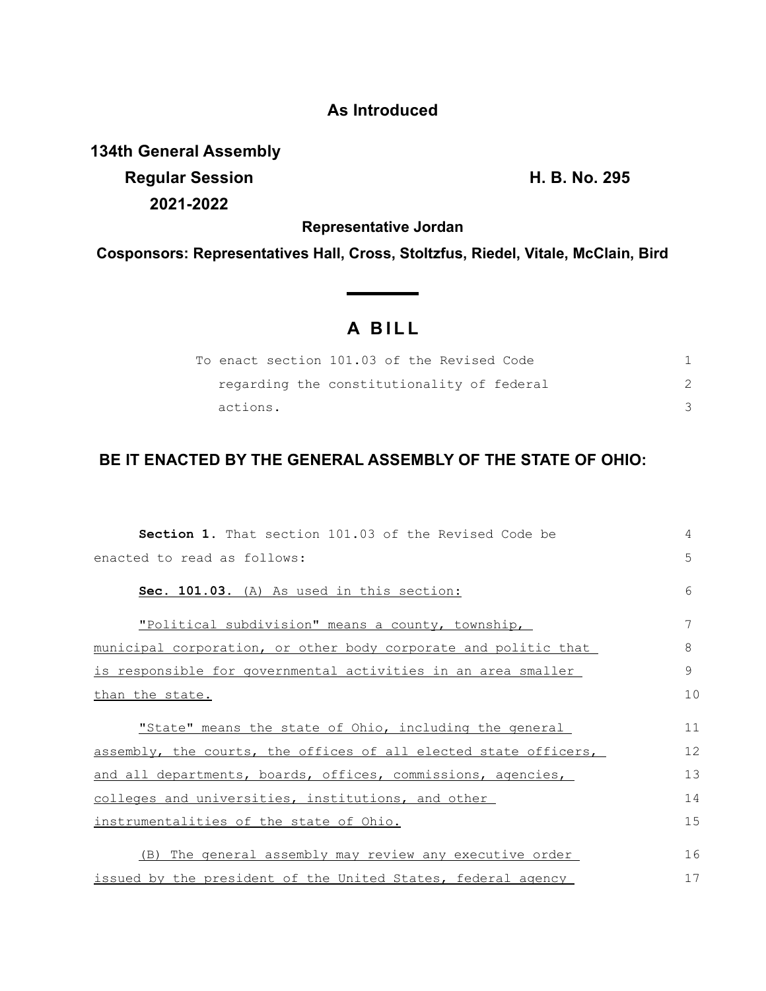## **As Introduced**

**134th General Assembly Regular Session H. B. No. 295 2021-2022**

**Representative Jordan**

**Cosponsors: Representatives Hall, Cross, Stoltzfus, Riedel, Vitale, McClain, Bird**

## **A B I L L**

|          | To enact section 101.03 of the Revised Code |  |
|----------|---------------------------------------------|--|
|          | regarding the constitutionality of federal  |  |
| actions. |                                             |  |

## **BE IT ENACTED BY THE GENERAL ASSEMBLY OF THE STATE OF OHIO:**

| <b>Section 1.</b> That section 101.03 of the Revised Code be     | 4  |  |  |
|------------------------------------------------------------------|----|--|--|
| enacted to read as follows:                                      |    |  |  |
| Sec. 101.03. (A) As used in this section:                        | 6  |  |  |
| "Political subdivision" means a county, township,                | 7  |  |  |
| municipal corporation, or other body corporate and politic that  | 8  |  |  |
| is responsible for governmental activities in an area smaller    |    |  |  |
| than the state.                                                  |    |  |  |
| "State" means the state of Ohio, including the general           | 11 |  |  |
| assembly, the courts, the offices of all elected state officers, | 12 |  |  |
| and all departments, boards, offices, commissions, agencies,     |    |  |  |
| colleges and universities, institutions, and other               |    |  |  |
| instrumentalities of the state of Ohio.                          |    |  |  |
| (B) The general assembly may review any executive order          | 16 |  |  |
| issued by the president of the United States, federal agency     |    |  |  |